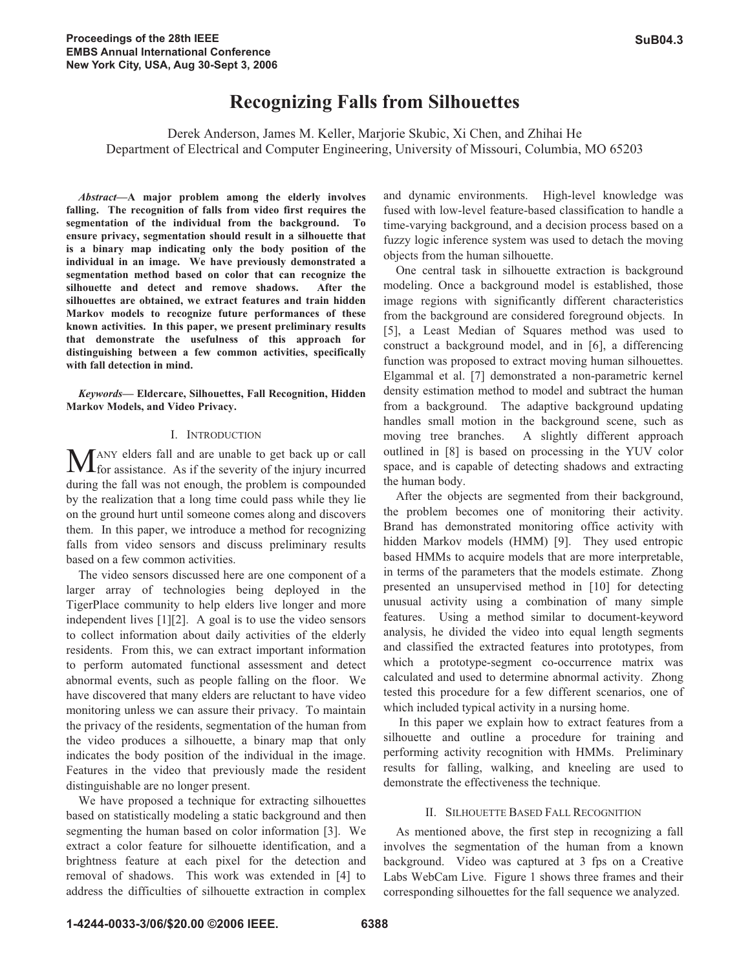# **Recognizing Falls from Silhouettes**

Derek Anderson, James M. Keller, Marjorie Skubic, Xi Chen, and Zhihai He Department of Electrical and Computer Engineering, University of Missouri, Columbia, MO 65203

*Abstract***—A major problem among the elderly involves falling. The recognition of falls from video first requires the segmentation of the individual from the background. To ensure privacy, segmentation should result in a silhouette that is a binary map indicating only the body position of the individual in an image. We have previously demonstrated a segmentation method based on color that can recognize the silhouette and detect and remove shadows. After the silhouettes are obtained, we extract features and train hidden Markov models to recognize future performances of these known activities. In this paper, we present preliminary results that demonstrate the usefulness of this approach for distinguishing between a few common activities, specifically with fall detection in mind.** 

*Keywords***— Eldercare, Silhouettes, Fall Recognition, Hidden Markov Models, and Video Privacy.** 

# I. INTRODUCTION

ANY elders fall and are unable to get back up or call MANY elders fall and are unable to get back up or call for assistance. As if the severity of the injury incurred during the fall was not enough, the problem is compounded by the realization that a long time could pass while they lie on the ground hurt until someone comes along and discovers them. In this paper, we introduce a method for recognizing falls from video sensors and discuss preliminary results based on a few common activities.

The video sensors discussed here are one component of a larger array of technologies being deployed in the TigerPlace community to help elders live longer and more independent lives [1][2]. A goal is to use the video sensors to collect information about daily activities of the elderly residents. From this, we can extract important information to perform automated functional assessment and detect abnormal events, such as people falling on the floor. We have discovered that many elders are reluctant to have video monitoring unless we can assure their privacy. To maintain the privacy of the residents, segmentation of the human from the video produces a silhouette, a binary map that only indicates the body position of the individual in the image. Features in the video that previously made the resident distinguishable are no longer present.

We have proposed a technique for extracting silhouettes based on statistically modeling a static background and then segmenting the human based on color information [3]. We extract a color feature for silhouette identification, and a brightness feature at each pixel for the detection and removal of shadows. This work was extended in [4] to address the difficulties of silhouette extraction in complex

and dynamic environments. High-level knowledge was fused with low-level feature-based classification to handle a time-varying background, and a decision process based on a fuzzy logic inference system was used to detach the moving objects from the human silhouette.

One central task in silhouette extraction is background modeling. Once a background model is established, those image regions with significantly different characteristics from the background are considered foreground objects. In [5], a Least Median of Squares method was used to construct a background model, and in [6], a differencing function was proposed to extract moving human silhouettes. Elgammal et al. [7] demonstrated a non-parametric kernel density estimation method to model and subtract the human from a background. The adaptive background updating handles small motion in the background scene, such as moving tree branches. A slightly different approach outlined in [8] is based on processing in the YUV color space, and is capable of detecting shadows and extracting the human body.

After the objects are segmented from their background, the problem becomes one of monitoring their activity. Brand has demonstrated monitoring office activity with hidden Markov models (HMM) [9]. They used entropic based HMMs to acquire models that are more interpretable, in terms of the parameters that the models estimate. Zhong presented an unsupervised method in [10] for detecting unusual activity using a combination of many simple features. Using a method similar to document-keyword analysis, he divided the video into equal length segments and classified the extracted features into prototypes, from which a prototype-segment co-occurrence matrix was calculated and used to determine abnormal activity. Zhong tested this procedure for a few different scenarios, one of which included typical activity in a nursing home.

 In this paper we explain how to extract features from a silhouette and outline a procedure for training and performing activity recognition with HMMs. Preliminary results for falling, walking, and kneeling are used to demonstrate the effectiveness the technique.

# II. SILHOUETTE BASED FALL RECOGNITION

As mentioned above, the first step in recognizing a fall involves the segmentation of the human from a known background. Video was captured at 3 fps on a Creative Labs WebCam Live. Figure 1 shows three frames and their corresponding silhouettes for the fall sequence we analyzed.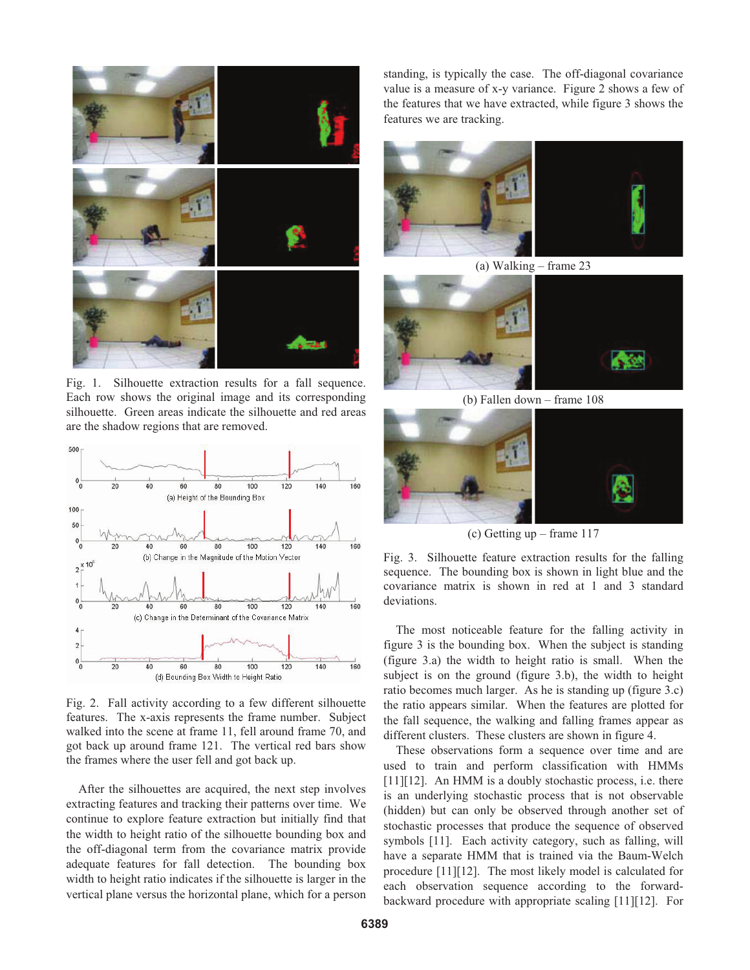

Fig. 1. Silhouette extraction results for a fall sequence. Each row shows the original image and its corresponding silhouette. Green areas indicate the silhouette and red areas are the shadow regions that are removed.



Fig. 2. Fall activity according to a few different silhouette features. The x-axis represents the frame number. Subject walked into the scene at frame 11, fell around frame 70, and got back up around frame 121. The vertical red bars show the frames where the user fell and got back up.

After the silhouettes are acquired, the next step involves extracting features and tracking their patterns over time. We continue to explore feature extraction but initially find that the width to height ratio of the silhouette bounding box and the off-diagonal term from the covariance matrix provide adequate features for fall detection. The bounding box width to height ratio indicates if the silhouette is larger in the vertical plane versus the horizontal plane, which for a person

standing, is typically the case. The off-diagonal covariance value is a measure of x-y variance. Figure 2 shows a few of the features that we have extracted, while figure 3 shows the features we are tracking.



(a) Walking – frame 23



(b) Fallen down – frame 108



(c) Getting up – frame 117

Fig. 3. Silhouette feature extraction results for the falling sequence. The bounding box is shown in light blue and the covariance matrix is shown in red at 1 and 3 standard deviations.

The most noticeable feature for the falling activity in figure 3 is the bounding box. When the subject is standing (figure 3.a) the width to height ratio is small. When the subject is on the ground (figure 3.b), the width to height ratio becomes much larger. As he is standing up (figure 3.c) the ratio appears similar. When the features are plotted for the fall sequence, the walking and falling frames appear as different clusters. These clusters are shown in figure 4.

These observations form a sequence over time and are used to train and perform classification with HMMs [11][12]. An HMM is a doubly stochastic process, i.e. there is an underlying stochastic process that is not observable (hidden) but can only be observed through another set of stochastic processes that produce the sequence of observed symbols [11]. Each activity category, such as falling, will have a separate HMM that is trained via the Baum-Welch procedure [11][12]. The most likely model is calculated for each observation sequence according to the forwardbackward procedure with appropriate scaling [11][12]. For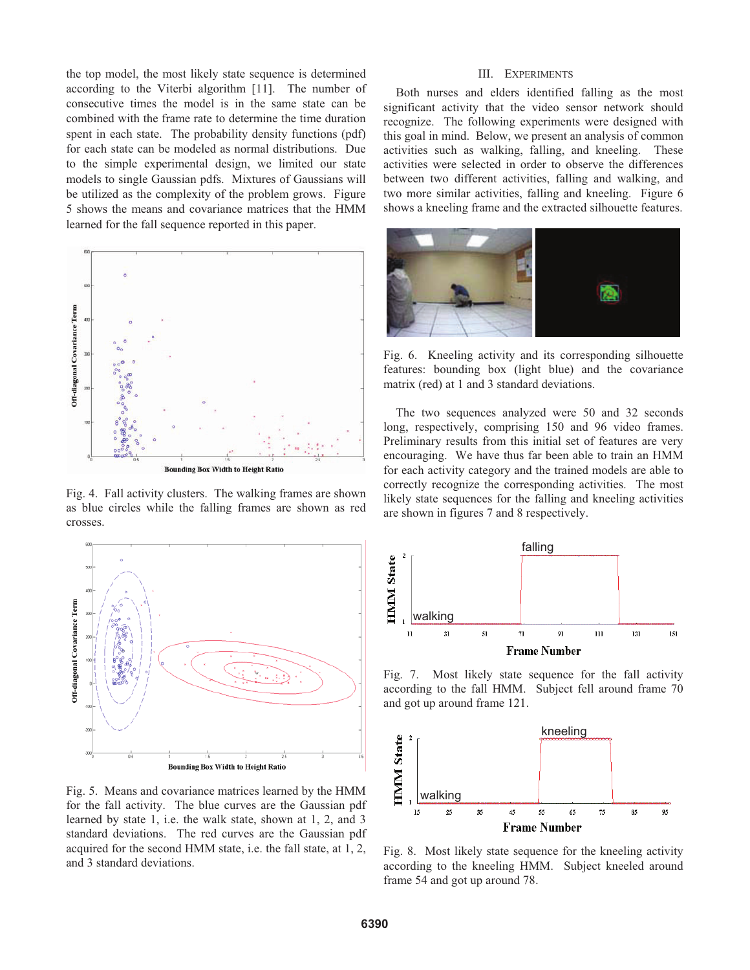the top model, the most likely state sequence is determined according to the Viterbi algorithm [11]. The number of consecutive times the model is in the same state can be combined with the frame rate to determine the time duration spent in each state. The probability density functions (pdf) for each state can be modeled as normal distributions. Due to the simple experimental design, we limited our state models to single Gaussian pdfs. Mixtures of Gaussians will be utilized as the complexity of the problem grows. Figure 5 shows the means and covariance matrices that the HMM learned for the fall sequence reported in this paper.



Fig. 4. Fall activity clusters. The walking frames are shown as blue circles while the falling frames are shown as red crosses.



Fig. 5. Means and covariance matrices learned by the HMM for the fall activity. The blue curves are the Gaussian pdf learned by state 1, i.e. the walk state, shown at 1, 2, and 3 standard deviations. The red curves are the Gaussian pdf acquired for the second HMM state, i.e. the fall state, at 1, 2, and 3 standard deviations.

# III. EXPERIMENTS

Both nurses and elders identified falling as the most significant activity that the video sensor network should recognize. The following experiments were designed with this goal in mind. Below, we present an analysis of common activities such as walking, falling, and kneeling. These activities were selected in order to observe the differences between two different activities, falling and walking, and two more similar activities, falling and kneeling. Figure 6 shows a kneeling frame and the extracted silhouette features.



Fig. 6. Kneeling activity and its corresponding silhouette features: bounding box (light blue) and the covariance matrix (red) at 1 and 3 standard deviations.

The two sequences analyzed were 50 and 32 seconds long, respectively, comprising 150 and 96 video frames. Preliminary results from this initial set of features are very encouraging. We have thus far been able to train an HMM for each activity category and the trained models are able to correctly recognize the corresponding activities. The most likely state sequences for the falling and kneeling activities are shown in figures 7 and 8 respectively.



Fig. 7. Most likely state sequence for the fall activity according to the fall HMM. Subject fell around frame 70 and got up around frame 121.



Fig. 8. Most likely state sequence for the kneeling activity according to the kneeling HMM. Subject kneeled around frame 54 and got up around 78.